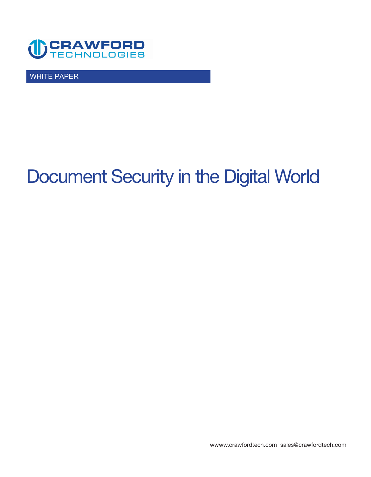

WHITE PAPER

# **Document Security in the Digital World**

**<wwww.crawfordtech.com>[sales@crawfordtech.com](mailto:sales@crawfordtech.com)**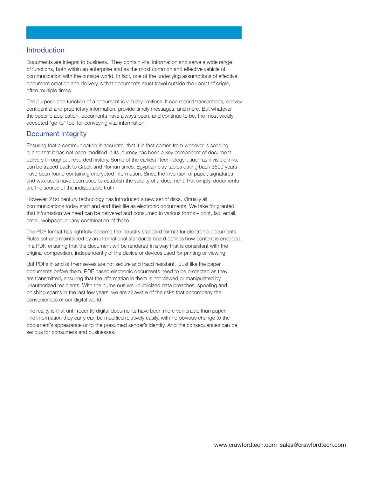#### **Introduction**

**Documents are integral to business. They contain vital information and serve a wide range of functions, both within an enterprise and as the most common and effective vehicle of communication with the outside world. In fact, one of the underlying assumptions of effective document creation and delivery is that documents must travel outside their point of origin, often multiple times.** 

**The purpose and function of a document is virtually limitless. It can record transactions, convey confidential and proprietary information, provide timely messages, and more. But whatever the specific application, documents have always been, and continue to be, the most widely accepted "go-to" tool for conveying vital information.** 

#### **Document Integrity**

**Ensuring that a communication is accurate, that it in fact comes from whoever is sending it, and that it has not been modified in its journey has been a key component of document delivery throughout recorded history. Some of the earliest "technology", such as invisible inks, can be traced back to Greek and Roman times. Egyptian clay tables dating back 3500 years have been found containing encrypted information. Since the invention of paper, signatures and wax seals have been used to establish the validity of a document. Put simply, documents are the source of the indisputable truth.** 

**However, 21st century technology has introduced a new set of risks. Virtually all communications today start and end their life as electronic documents. We take for granted that information we need can be delivered and consumed in various forms – print, fax, email, email, webpage, or any combination of these.** 

**The PDF format has rightfully become the industry standard format for electronic documents. Rules set and maintained by an international standards board defines how content is encoded in a PDF, ensuring that the document will be rendered in a way that is consistent with the original composition, independently of the device or devices used for printing or viewing.** 

**But PDFs in and of themselves are not secure and fraud resistant. Just like the paper documents before them, PDF based electronic documents need to be protected as they are transmitted, ensuring that the information in them is not viewed or manipulated by unauthorized recipients. With the numerous well-publicized data breaches, spoofing and phishing scams in the last few years, we are all aware of the risks that accompany the conveniences of our digital world.** 

**The reality is that until recently digital documents have been more vulnerable than paper. The information they carry can be modified relatively easily, with no obvious change to the document's appearance or to the presumed sender's identity. And the consequences can be serious for consumers and businesses.**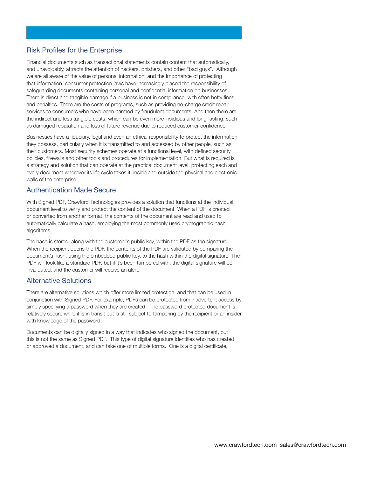## **Risk Profiles for the Enterprise**

**Financial documents such as transactional statements contain content that automatically, and unavoidably, attracts the attention of hackers, phishers, and other "bad guys". Although we are all aware of the value of personal information, and the importance of protecting that information, consumer protection laws have increasingly placed the responsibility of safeguarding documents containing personal and confidential information on businesses. There is direct and tangible damage if a business is not in compliance, with often hefty fines and penalties. There are the costs of programs, such as providing no-charge credit repair services to consumers who have been harmed by fraudulent documents. And then there are the indirect and less tangible costs, which can be even more insidious and long-lasting, such as damaged reputation and loss of future revenue due to reduced customer confidence.** 

**Businesses have a fiduciary, legal and even an ethical responsibility to protect the information they possess, particularly when it is transmitted to and accessed by other people, such as their customers. Most security schemes operate at a functional level, with defined security policies, firewalls and other tools and procedures for implementation. But what is required is a strategy and solution that can operate at the practical document level, protecting each and every document wherever its life cycle takes it, inside and outside the physical and electronic walls of the enterprise.** 

#### **Authentication Made Secure**

**With Signed PDF, Crawford Technologies provides a solution that functions at the individual document level to verify and protect the content of the document. When a PDF is created or converted from another format, the contents of the document are read and used to automatically calculate a hash, employing the most commonly used cryptographic hash algorithms.** 

**The hash is stored, along with the customer's public key, within the PDF as the signature. When the recipient opens the PDF, the contents of the PDF are validated by comparing the document's hash, using the embedded public key, to the hash within the digital signature. The PDF will look like a standard PDF, but if it's been tampered with, the digital signature will be invalidated, and the customer will receive an alert.** 

#### **Alternative Solutions**

**There are alternative solutions which offer more limited protection, and that can be used in conjunction with Signed PDF. For example, PDFs can be protected from inadvertent access by simply specifying a password when they are created. The password protected document is relatively secure while it is in transit but is still subject to tampering by the recipient or an insider with knowledge of the password.** 

**Documents can be digitally signed in a way that indicates who signed the document, but this is not the same as Signed PDF. This type of digital signature identifies who has created or approved a document, and can take one of multiple forms. One is a digital certificate,**